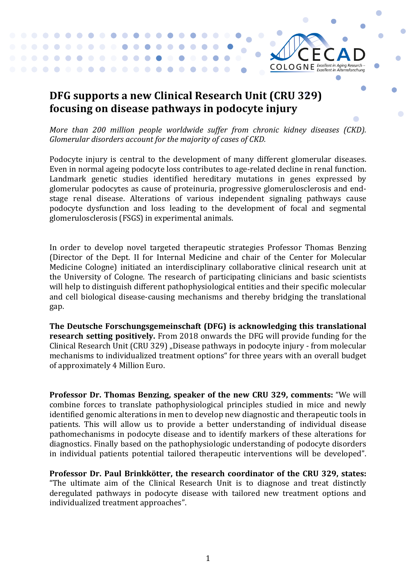## DFG supports a new Clinical Research Unit (CRU 329) **focusing on disease pathways in podocyte injury**

. . . . .

 $\blacksquare$ 

 $\bullet$  $\overline{\phantom{a}}$ 

> $\blacksquare$  $\bullet$

*More than 200 million people worldwide suffer from chronic kidney diseases (CKD). Glomerular disorders account for the majority of cases of CKD.* 

 $CO$  LO G N E *Excellent in Aging Research* -

Podocyte injury is central to the development of many different glomerular diseases. Even in normal ageing podocyte loss contributes to age-related decline in renal function. Landmark genetic studies identified hereditary mutations in genes expressed by glomerular podocytes as cause of proteinuria, progressive glomerulosclerosis and endstage renal disease. Alterations of various independent signaling pathways cause podocyte dysfunction and loss leading to the development of focal and segmental glomerulosclerosis (FSGS) in experimental animals.

In order to develop novel targeted therapeutic strategies Professor Thomas Benzing (Director of the Dept. II for Internal Medicine and chair of the Center for Molecular Medicine Cologne) initiated an interdisciplinary collaborative clinical research unit at the University of Cologne. The research of participating clinicians and basic scientists will help to distinguish different pathophysiological entities and their specific molecular and cell biological disease-causing mechanisms and thereby bridging the translational gap.

**The Deutsche Forschungsgemeinschaft (DFG) is acknowledging this translational research setting positively.** From 2018 onwards the DFG will provide funding for the Clinical Research Unit (CRU 329) "Disease pathways in podocyte injury - from molecular mechanisms to individualized treatment options" for three years with an overall budget of approximately 4 Million Euro.

**Professor Dr. Thomas Benzing, speaker of the new CRU 329, comments:** "We will combine forces to translate pathophysiological principles studied in mice and newly identified genomic alterations in men to develop new diagnostic and therapeutic tools in patients. This will allow us to provide a better understanding of individual disease pathomechanisms in podocyte disease and to identify markers of these alterations for diagnostics. Finally based on the pathophysiologic understanding of podocyte disorders in individual patients potential tailored therapeutic interventions will be developed".

Professor Dr. Paul Brinkkötter, the research coordinator of the CRU 329, states: "The ultimate aim of the Clinical Research Unit is to diagnose and treat distinctly deregulated pathways in podocyte disease with tailored new treatment options and individualized treatment approaches".